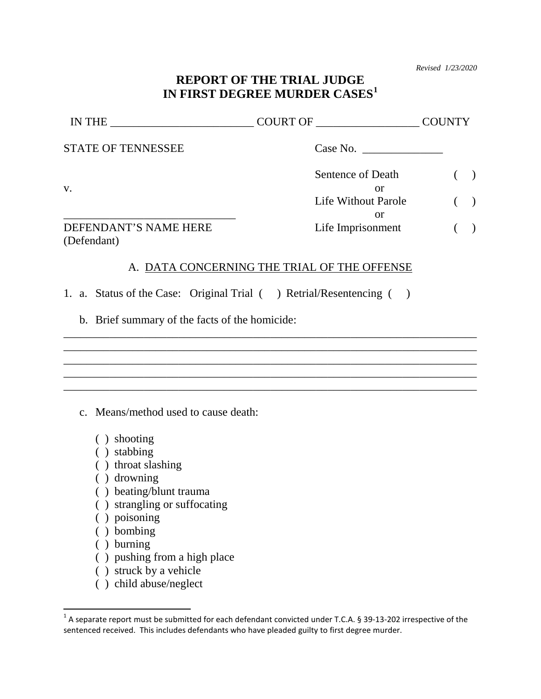*Revised 1/23/2020*

### **REPORT OF THE TRIAL JUDGE IN FIRST DEGREE MURDER CASES[1](#page-0-0)**

| IN THE                               | COURT OF                | <b>COUNTY</b> |
|--------------------------------------|-------------------------|---------------|
| <b>STATE OF TENNESSEE</b>            | Case No.                |               |
| V.                                   | Sentence of Death<br>or |               |
|                                      | Life Without Parole     | $\rightarrow$ |
| DEFENDANT'S NAME HERE<br>(Defendant) | or<br>Life Imprisonment |               |

#### A. DATA CONCERNING THE TRIAL OF THE OFFENSE

\_\_\_\_\_\_\_\_\_\_\_\_\_\_\_\_\_\_\_\_\_\_\_\_\_\_\_\_\_\_\_\_\_\_\_\_\_\_\_\_\_\_\_\_\_\_\_\_\_\_\_\_\_\_\_\_\_\_\_\_\_\_\_\_\_\_\_\_\_\_\_\_ \_\_\_\_\_\_\_\_\_\_\_\_\_\_\_\_\_\_\_\_\_\_\_\_\_\_\_\_\_\_\_\_\_\_\_\_\_\_\_\_\_\_\_\_\_\_\_\_\_\_\_\_\_\_\_\_\_\_\_\_\_\_\_\_\_\_\_\_\_\_\_\_ \_\_\_\_\_\_\_\_\_\_\_\_\_\_\_\_\_\_\_\_\_\_\_\_\_\_\_\_\_\_\_\_\_\_\_\_\_\_\_\_\_\_\_\_\_\_\_\_\_\_\_\_\_\_\_\_\_\_\_\_\_\_\_\_\_\_\_\_\_\_\_\_ \_\_\_\_\_\_\_\_\_\_\_\_\_\_\_\_\_\_\_\_\_\_\_\_\_\_\_\_\_\_\_\_\_\_\_\_\_\_\_\_\_\_\_\_\_\_\_\_\_\_\_\_\_\_\_\_\_\_\_\_\_\_\_\_\_\_\_\_\_\_\_\_ \_\_\_\_\_\_\_\_\_\_\_\_\_\_\_\_\_\_\_\_\_\_\_\_\_\_\_\_\_\_\_\_\_\_\_\_\_\_\_\_\_\_\_\_\_\_\_\_\_\_\_\_\_\_\_\_\_\_\_\_\_\_\_\_\_\_\_\_\_\_\_\_

1. a. Status of the Case: Original Trial ( ) Retrial/Resentencing ( )

b. Brief summary of the facts of the homicide:

c. Means/method used to cause death:

- ( ) shooting
- ( ) stabbing
- ( ) throat slashing
- ( ) drowning
- ( ) beating/blunt trauma
- ( ) strangling or suffocating
- ( ) poisoning
- ( ) bombing
- ( ) burning
- ( ) pushing from a high place
- ( ) struck by a vehicle
- ( ) child abuse/neglect

<span id="page-0-0"></span> $1$  A separate report must be submitted for each defendant convicted under T.C.A. § 39-13-202 irrespective of the sentenced received. This includes defendants who have pleaded guilty to first degree murder.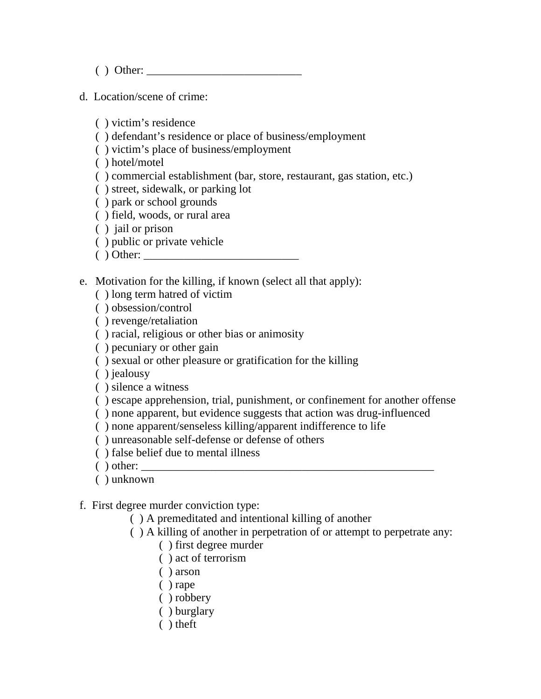$( )$  Other:

d. Location/scene of crime:

( ) victim's residence

( ) defendant's residence or place of business/employment

( ) victim's place of business/employment

( ) hotel/motel

- ( ) commercial establishment (bar, store, restaurant, gas station, etc.)
- ( ) street, sidewalk, or parking lot
- ( ) park or school grounds
- ( ) field, woods, or rural area
- ( ) jail or prison
- ( ) public or private vehicle
- $( )$  Other:
- e. Motivation for the killing, if known (select all that apply):
	- ( ) long term hatred of victim
	- ( ) obsession/control
	- ( ) revenge/retaliation
	- ( ) racial, religious or other bias or animosity
	- ( ) pecuniary or other gain
	- ( ) sexual or other pleasure or gratification for the killing

( ) jealousy

( ) silence a witness

- ( ) escape apprehension, trial, punishment, or confinement for another offense
- ( ) none apparent, but evidence suggests that action was drug-influenced
- ( ) none apparent/senseless killing/apparent indifference to life
- ( ) unreasonable self-defense or defense of others
- ( ) false belief due to mental illness
- $( )$  other:
- ( ) unknown

f. First degree murder conviction type:

- ( ) A premeditated and intentional killing of another
- ( ) A killing of another in perpetration of or attempt to perpetrate any:
	- ( ) first degree murder
	- ( ) act of terrorism
	- ( ) arson
	- ( ) rape
	- ( ) robbery
	- ( ) burglary
	- ( ) theft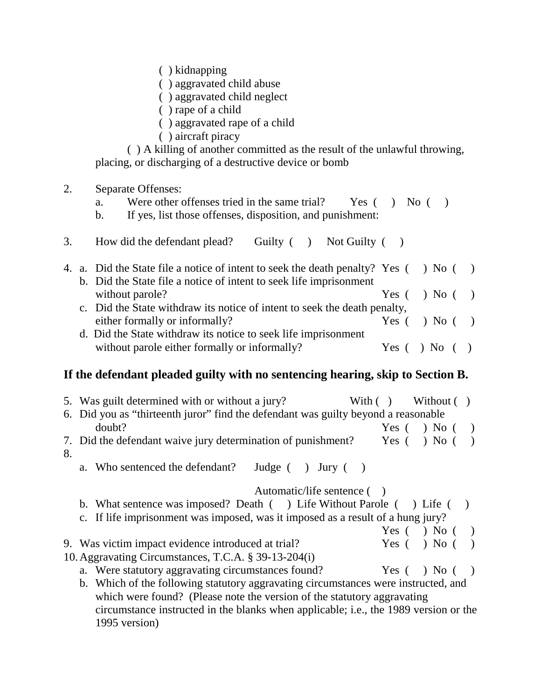( ) kidnapping

( ) aggravated child abuse

( ) aggravated child neglect

( ) rape of a child

( ) aggravated rape of a child

( ) aircraft piracy

( ) A killing of another committed as the result of the unlawful throwing, placing, or discharging of a destructive device or bomb

### 2. Separate Offenses:

a. Were other offenses tried in the same trial? Yes () No ()

b. If yes, list those offenses, disposition, and punishment:

3. How did the defendant plead? Guilty ( ) Not Guilty ( )

|  | 4. a. Did the State file a notice of intent to seek the death penalty? Yes () No () |                        |  |
|--|-------------------------------------------------------------------------------------|------------------------|--|
|  | b. Did the State file a notice of intent to seek life imprisonment                  |                        |  |
|  | without parole?                                                                     | Yes $( \ )$ No $( \ )$ |  |
|  | c. Did the State withdraw its notice of intent to seek the death penalty,           |                        |  |
|  | either formally or informally?                                                      | Yes $( \ )$ No $( \ )$ |  |
|  | d. Did the State withdraw its notice to seek life imprisonment                      |                        |  |
|  | without parole either formally or informally?                                       | Yes $( )$ No $( )$     |  |

### **If the defendant pleaded guilty with no sentencing hearing, skip to Section B.**

|    | 5. Was guilt determined with or without a jury?                                      | With $($ ) |       | Without $( )$ |  |
|----|--------------------------------------------------------------------------------------|------------|-------|---------------|--|
|    | 6. Did you as "thirteenth juror" find the defendant was guilty beyond a reasonable   |            |       |               |  |
|    | doubt?                                                                               |            | Yes ( | $)$ No (      |  |
| 8. | 7. Did the defendant waive jury determination of punishment?                         |            | Yes ( | $)$ No (      |  |
|    | a. Who sentenced the defendant?<br>Judge $($ ) Jury $($                              |            |       |               |  |
|    | Automatic/life sentence ()                                                           |            |       |               |  |
|    | b. What sentence was imposed? Death () Life Without Parole () Life (                 |            |       |               |  |
|    | c. If life imprisonment was imposed, was it imposed as a result of a hung jury?      |            |       |               |  |
|    |                                                                                      |            | Yes ( | $\log$ No (   |  |
|    | 9. Was victim impact evidence introduced at trial?                                   |            | Yes ( | $)$ No (      |  |
|    | 10. Aggravating Circumstances, T.C.A. § 39-13-204(i)                                 |            |       |               |  |
|    | a. Were statutory aggravating circumstances found?                                   |            | Yes ( | $)$ No (      |  |
|    | b. Which of the following statutory aggravating circumstances were instructed, and   |            |       |               |  |
|    | which were found? (Please note the version of the statutory aggravating              |            |       |               |  |
|    | circumstance instructed in the blanks when applicable; i.e., the 1989 version or the |            |       |               |  |
|    | 1995 version)                                                                        |            |       |               |  |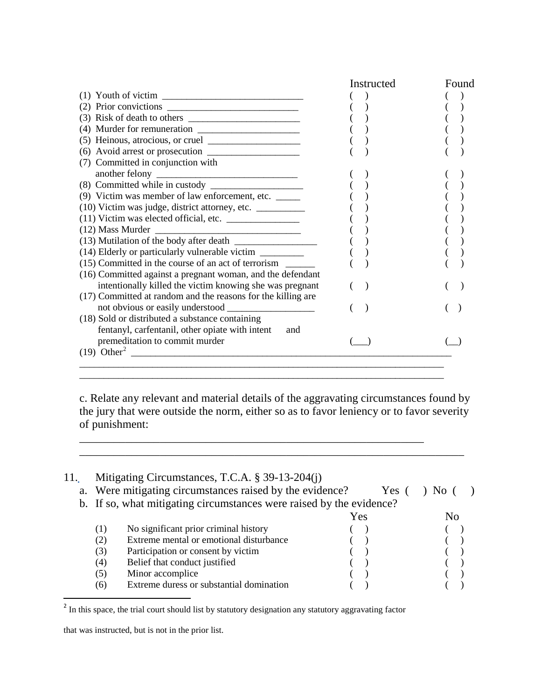|                                                                                                  | Instructed | Found |
|--------------------------------------------------------------------------------------------------|------------|-------|
| (1) Youth of victim $\frac{1}{\sqrt{1-\frac{1}{2}}}\left  \frac{1}{\sqrt{1-\frac{1}{2}}}\right $ |            |       |
|                                                                                                  |            |       |
|                                                                                                  |            |       |
|                                                                                                  |            |       |
|                                                                                                  |            |       |
|                                                                                                  |            |       |
| (7) Committed in conjunction with                                                                |            |       |
|                                                                                                  |            |       |
|                                                                                                  |            |       |
| (9) Victim was member of law enforcement, etc.                                                   |            |       |
| (10) Victim was judge, district attorney, etc. _________                                         |            |       |
| (11) Victim was elected official, etc.                                                           |            |       |
|                                                                                                  |            |       |
|                                                                                                  |            |       |
| (14) Elderly or particularly vulnerable victim ________                                          |            |       |
| (15) Committed in the course of an act of terrorism                                              |            |       |
| (16) Committed against a pregnant woman, and the defendant                                       |            |       |
| intentionally killed the victim knowing she was pregnant                                         |            |       |
| (17) Committed at random and the reasons for the killing are                                     |            |       |
|                                                                                                  |            |       |
| (18) Sold or distributed a substance containing                                                  |            |       |
| fentanyl, carfentanil, other opiate with intent<br>and                                           |            |       |
| premeditation to commit murder                                                                   |            |       |
|                                                                                                  |            |       |
|                                                                                                  |            |       |
|                                                                                                  |            |       |

c. Relate any relevant and material details of the aggravating circumstances found by the jury that were outside the norm, either so as to favor leniency or to favor severity of punishment:

\_\_\_\_\_\_\_\_\_\_\_\_\_\_\_\_\_\_\_\_\_\_\_\_\_\_\_\_\_\_\_\_\_\_\_\_\_\_\_\_\_\_\_\_\_\_\_\_\_\_\_\_\_\_\_\_\_\_\_\_\_\_\_\_\_\_\_

\_\_\_\_\_\_\_\_\_\_\_\_\_\_\_\_\_\_\_\_\_\_\_\_\_\_\_\_\_\_\_\_\_\_\_\_\_\_\_\_\_\_\_\_\_\_\_\_\_\_\_\_\_\_\_\_\_\_\_\_

| 11. |     | Mitigating Circumstances, T.C.A. § 39-13-204(j)                      |     |       |                |  |
|-----|-----|----------------------------------------------------------------------|-----|-------|----------------|--|
|     |     | a. Were mitigating circumstances raised by the evidence?             |     | Yes ( |                |  |
|     |     | b. If so, what mitigating circumstances were raised by the evidence? |     |       |                |  |
|     |     |                                                                      | Yes |       | N <sub>0</sub> |  |
|     | (1) | No significant prior criminal history                                |     |       |                |  |
|     | (2) | Extreme mental or emotional disturbance                              |     |       |                |  |
|     | (3) | Participation or consent by victim                                   |     |       |                |  |
|     | (4) | Belief that conduct justified                                        |     |       |                |  |
|     | (5) | Minor accomplice                                                     |     |       |                |  |
|     | (6) | Extreme duress or substantial domination                             |     |       |                |  |

<span id="page-3-0"></span><sup>&</sup>lt;sup>2</sup> In this space, the trial court should list by statutory designation any statutory aggravating factor

that was instructed, but is not in the prior list.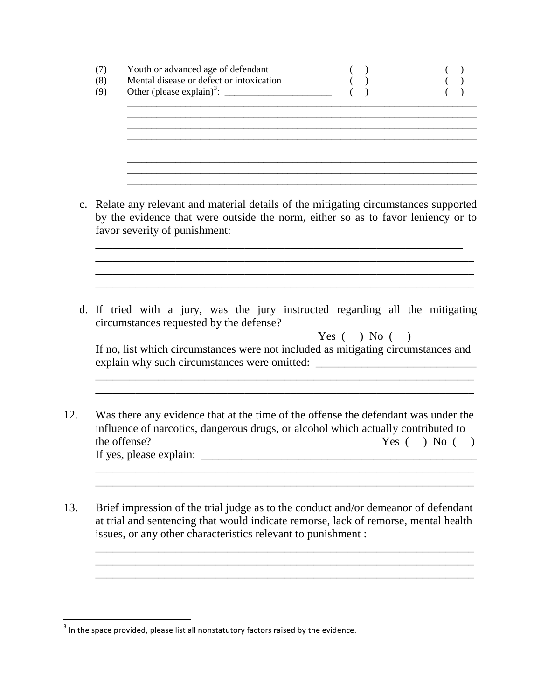| (7) | Youth or advanced age of defendant           |  |
|-----|----------------------------------------------|--|
| (8) | Mental disease or defect or intoxication     |  |
| (9) | Other (please explain) <sup>3</sup> : $\_\_$ |  |
|     |                                              |  |

\_\_\_\_\_\_\_\_\_\_\_\_\_\_\_\_\_\_\_\_\_\_\_\_\_\_\_\_\_\_\_\_\_\_\_\_\_\_\_\_\_\_\_\_\_\_\_\_\_\_\_\_\_\_\_\_\_\_\_\_\_\_\_\_\_\_\_\_\_\_\_\_

\_\_\_\_\_\_\_\_\_\_\_\_\_\_\_\_\_\_\_\_\_\_\_\_\_\_\_\_\_\_\_\_\_\_\_\_\_\_\_\_\_\_\_\_\_\_\_\_\_\_\_\_\_\_\_\_\_\_\_\_\_\_\_\_\_\_\_\_\_\_\_\_ \_\_\_\_\_\_\_\_\_\_\_\_\_\_\_\_\_\_\_\_\_\_\_\_\_\_\_\_\_\_\_\_\_\_\_\_\_\_\_\_\_\_\_\_\_\_\_\_\_\_\_\_\_\_\_\_\_\_\_\_\_\_\_\_\_\_\_\_\_\_\_\_

c. Relate any relevant and material details of the mitigating circumstances supported by the evidence that were outside the norm, either so as to favor leniency or to favor severity of punishment:

\_\_\_\_\_\_\_\_\_\_\_\_\_\_\_\_\_\_\_\_\_\_\_\_\_\_\_\_\_\_\_\_\_\_\_\_\_\_\_\_\_\_\_\_\_\_\_\_\_\_\_\_\_\_\_\_\_\_\_\_\_\_\_\_ \_\_\_\_\_\_\_\_\_\_\_\_\_\_\_\_\_\_\_\_\_\_\_\_\_\_\_\_\_\_\_\_\_\_\_\_\_\_\_\_\_\_\_\_\_\_\_\_\_\_\_\_\_\_\_\_\_\_\_\_\_\_\_\_\_\_ \_\_\_\_\_\_\_\_\_\_\_\_\_\_\_\_\_\_\_\_\_\_\_\_\_\_\_\_\_\_\_\_\_\_\_\_\_\_\_\_\_\_\_\_\_\_\_\_\_\_\_\_\_\_\_\_\_\_\_\_\_\_\_\_\_\_ \_\_\_\_\_\_\_\_\_\_\_\_\_\_\_\_\_\_\_\_\_\_\_\_\_\_\_\_\_\_\_\_\_\_\_\_\_\_\_\_\_\_\_\_\_\_\_\_\_\_\_\_\_\_\_\_\_\_\_\_\_\_\_\_\_\_

d. If tried with a jury, was the jury instructed regarding all the mitigating circumstances requested by the defense?

| Yes $( \ )$ No $( \ )$                                                            |
|-----------------------------------------------------------------------------------|
| If no, list which circumstances were not included as mitigating circumstances and |
| explain why such circumstances were omitted:                                      |

\_\_\_\_\_\_\_\_\_\_\_\_\_\_\_\_\_\_\_\_\_\_\_\_\_\_\_\_\_\_\_\_\_\_\_\_\_\_\_\_\_\_\_\_\_\_\_\_\_\_\_\_\_\_\_\_\_\_\_\_\_\_\_\_\_\_

\_\_\_\_\_\_\_\_\_\_\_\_\_\_\_\_\_\_\_\_\_\_\_\_\_\_\_\_\_\_\_\_\_\_\_\_\_\_\_\_\_\_\_\_\_\_\_\_\_\_\_\_\_\_\_\_\_\_\_\_\_\_\_\_\_\_ \_\_\_\_\_\_\_\_\_\_\_\_\_\_\_\_\_\_\_\_\_\_\_\_\_\_\_\_\_\_\_\_\_\_\_\_\_\_\_\_\_\_\_\_\_\_\_\_\_\_\_\_\_\_\_\_\_\_\_\_\_\_\_\_\_\_

\_\_\_\_\_\_\_\_\_\_\_\_\_\_\_\_\_\_\_\_\_\_\_\_\_\_\_\_\_\_\_\_\_\_\_\_\_\_\_\_\_\_\_\_\_\_\_\_\_\_\_\_\_\_\_\_\_\_\_\_\_\_\_\_\_\_ \_\_\_\_\_\_\_\_\_\_\_\_\_\_\_\_\_\_\_\_\_\_\_\_\_\_\_\_\_\_\_\_\_\_\_\_\_\_\_\_\_\_\_\_\_\_\_\_\_\_\_\_\_\_\_\_\_\_\_\_\_\_\_\_\_\_ \_\_\_\_\_\_\_\_\_\_\_\_\_\_\_\_\_\_\_\_\_\_\_\_\_\_\_\_\_\_\_\_\_\_\_\_\_\_\_\_\_\_\_\_\_\_\_\_\_\_\_\_\_\_\_\_\_\_\_\_\_\_\_\_\_\_

\_\_\_\_\_\_\_\_\_\_\_\_\_\_\_\_\_\_\_\_\_\_\_\_\_\_\_\_\_\_\_\_\_\_\_\_\_\_\_\_\_\_\_\_\_\_\_\_\_\_\_\_\_\_\_\_\_\_\_\_\_\_\_\_\_\_

12. Was there any evidence that at the time of the offense the defendant was under the influence of narcotics, dangerous drugs, or alcohol which actually contributed to the offense? Yes ( ) No ( ) If yes, please explain: \_\_\_\_\_\_\_\_\_\_\_\_\_\_\_\_\_\_\_\_\_\_\_\_\_\_\_\_\_\_\_\_\_\_\_\_\_\_\_\_\_\_\_\_\_\_\_\_

13. Brief impression of the trial judge as to the conduct and/or demeanor of defendant at trial and sentencing that would indicate remorse, lack of remorse, mental health issues, or any other characteristics relevant to punishment :

<span id="page-4-0"></span> $\frac{3}{3}$  In the space provided, please list all nonstatutory factors raised by the evidence.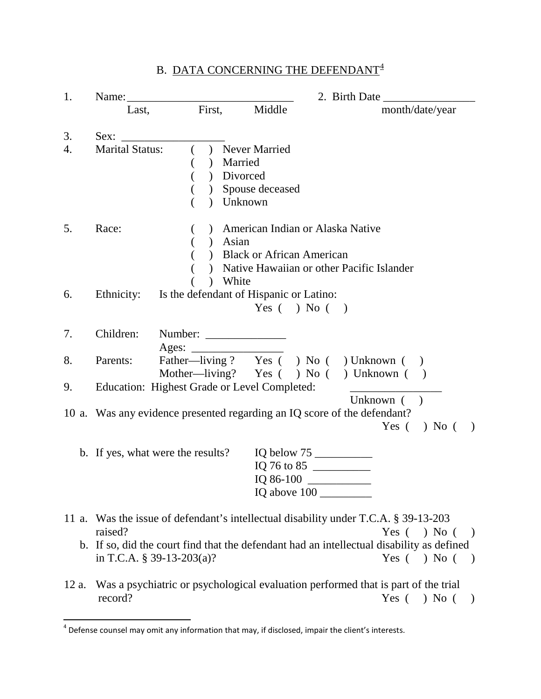| 1.    |                                      |                | 2. Birth Date $\_\_\_\_\_\_\_\_\_\_\_\_\_$                                            |                                                                                                                                                                                                                                               |  |  |  |  |  |  |
|-------|--------------------------------------|----------------|---------------------------------------------------------------------------------------|-----------------------------------------------------------------------------------------------------------------------------------------------------------------------------------------------------------------------------------------------|--|--|--|--|--|--|
|       | Last,                                | First,         | Middle                                                                                | month/date/year                                                                                                                                                                                                                               |  |  |  |  |  |  |
| 3.    | Sex:                                 |                |                                                                                       |                                                                                                                                                                                                                                               |  |  |  |  |  |  |
| 4.    | <b>Marital Status:</b>               | $\overline{(}$ | ) Never Married<br>) Married<br>) Divorced<br>) Spouse deceased<br>Unknown            |                                                                                                                                                                                                                                               |  |  |  |  |  |  |
| 5.    | Race:                                | €              | ) American Indian or Alaska Native<br>) Asian<br>) Black or African American<br>White | ) Native Hawaiian or other Pacific Islander                                                                                                                                                                                                   |  |  |  |  |  |  |
| 6.    |                                      |                | Ethnicity: Is the defendant of Hispanic or Latino:<br>Yes $( )$ No $( )$              |                                                                                                                                                                                                                                               |  |  |  |  |  |  |
| 7.    | Children: Number: _____________      | Ages: $\qquad$ |                                                                                       |                                                                                                                                                                                                                                               |  |  |  |  |  |  |
| 8.    | Parents:                             |                |                                                                                       | Father—living? Yes () No () Unknown ()<br>Mother-living? Yes () No () Unknown ()                                                                                                                                                              |  |  |  |  |  |  |
| 9.    |                                      |                | Education: Highest Grade or Level Completed:                                          |                                                                                                                                                                                                                                               |  |  |  |  |  |  |
|       |                                      |                |                                                                                       | Unknown $($ )<br>10 a. Was any evidence presented regarding an IQ score of the defendant?<br>$)$ No (<br>Yes (<br>$\rightarrow$                                                                                                               |  |  |  |  |  |  |
|       | b. If yes, what were the results?    |                | IQ 86-100                                                                             | IQ 76 to 85<br>IQ above 100                                                                                                                                                                                                                   |  |  |  |  |  |  |
|       | raised?<br>in T.C.A. § 39-13-203(a)? |                |                                                                                       | 11 a. Was the issue of defendant's intellectual disability under T.C.A. § 39-13-203<br>Yes $( )$ No $( )$<br>b. If so, did the court find that the defendant had an intellectual disability as defined<br>Yes $( \ )$ No $($<br>$\rightarrow$ |  |  |  |  |  |  |
| 12 a. | record?                              |                |                                                                                       | Was a psychiatric or psychological evaluation performed that is part of the trial<br>Yes $( )$ No $( )$                                                                                                                                       |  |  |  |  |  |  |

# B. DATA CONCERNING THE DEFENDANT  $\!4$  $\!4$

<span id="page-5-0"></span><sup>4&</sup>lt;br><sup>4</sup> Defense counsel may omit any information that may, if disclosed, impair the client's interests.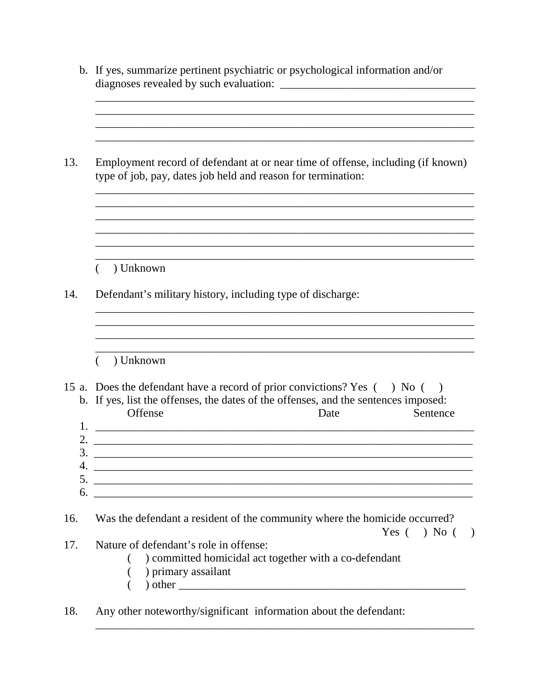|            | b. If yes, summarize pertinent psychiatric or psychological information and/or                                                                                                                                                                                                                                                                  |
|------------|-------------------------------------------------------------------------------------------------------------------------------------------------------------------------------------------------------------------------------------------------------------------------------------------------------------------------------------------------|
| 13.        | Employment record of defendant at or near time of offense, including (if known)<br>type of job, pay, dates job held and reason for termination:                                                                                                                                                                                                 |
| 14.        | ) Unknown<br>Defendant's military history, including type of discharge:                                                                                                                                                                                                                                                                         |
| 1.         | ) Unknown<br>15 a. Does the defendant have a record of prior convictions? Yes () No (<br>$\big)$<br>b. If yes, list the offenses, the dates of the offenses, and the sentences imposed:<br>Offense<br>Sentence<br>Date<br><u> 1989 - Andrea Santa Alemania, amerikana amerikana amerikana amerikana amerikana amerikana amerikana amerikana</u> |
| 2.<br>6.   |                                                                                                                                                                                                                                                                                                                                                 |
| 16.<br>17. | Was the defendant a resident of the community where the homicide occurred?<br>Yes $( )$ No $( )$<br>Nature of defendant's role in offense:<br>) committed homicidal act together with a co-defendant<br>) primary assailant                                                                                                                     |
| 18.        | Any other noteworthy/significant information about the defendant:                                                                                                                                                                                                                                                                               |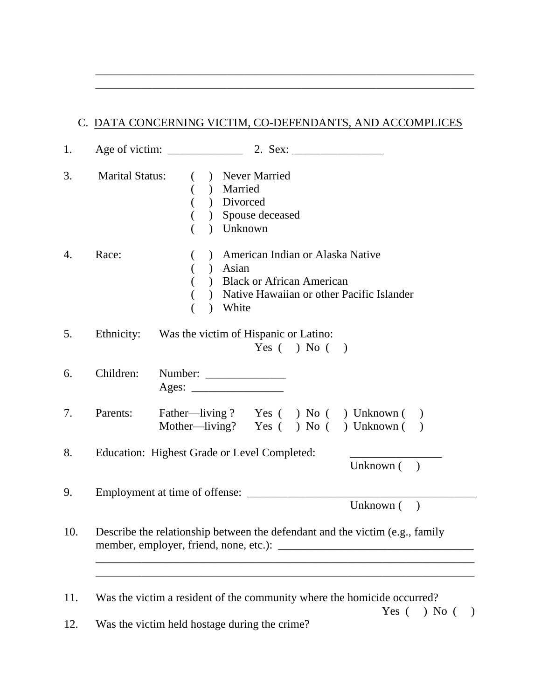| <b>Marital Status:</b> | ( ) Never Married                                                            |
|------------------------|------------------------------------------------------------------------------|
|                        | ( ) Married                                                                  |
|                        | $\overline{(\ }$<br>) Divorced                                               |
|                        | ) Spouse deceased                                                            |
|                        | ) Unknown                                                                    |
| Race:                  | ) American Indian or Alaska Native<br>$\left($                               |
|                        | ) Asian                                                                      |
|                        | ) Black or African American                                                  |
|                        | ) Native Hawaiian or other Pacific Islander                                  |
|                        | ) White                                                                      |
| Parents:               | $\text{Ages:}\n\qquad \qquad$<br>Father-living? Yes () No () Unknown ()      |
|                        | Mother-living? Yes () No () Unknown ()                                       |
|                        | Education: Highest Grade or Level Completed:                                 |
|                        | Unknown $($ )                                                                |
|                        | Employment at time of offense:                                               |
|                        | Unknown (<br>$\big)$                                                         |
|                        | Describe the relationship between the defendant and the victim (e.g., family |
|                        |                                                                              |
|                        | <u> 1989 - Johann Stoff, amerikansk politiker (d. 1989)</u>                  |

\_\_\_\_\_\_\_\_\_\_\_\_\_\_\_\_\_\_\_\_\_\_\_\_\_\_\_\_\_\_\_\_\_\_\_\_\_\_\_\_\_\_\_\_\_\_\_\_\_\_\_\_\_\_\_\_\_\_\_\_\_\_\_\_\_\_ \_\_\_\_\_\_\_\_\_\_\_\_\_\_\_\_\_\_\_\_\_\_\_\_\_\_\_\_\_\_\_\_\_\_\_\_\_\_\_\_\_\_\_\_\_\_\_\_\_\_\_\_\_\_\_\_\_\_\_\_\_\_\_\_\_\_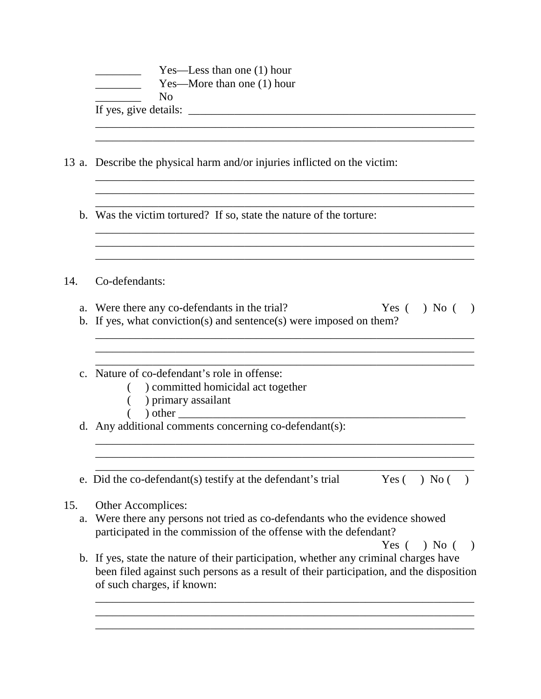|           | Yes—Less than one (1) hour<br>Yes—More than one $(1)$ hour<br>N <sub>0</sub>                                                                                                                                   |
|-----------|----------------------------------------------------------------------------------------------------------------------------------------------------------------------------------------------------------------|
|           |                                                                                                                                                                                                                |
|           | 13 a. Describe the physical harm and/or injuries inflicted on the victim:                                                                                                                                      |
|           | b. Was the victim tortured? If so, state the nature of the torture:                                                                                                                                            |
| 14.       | Co-defendants:                                                                                                                                                                                                 |
|           | a. Were there any co-defendants in the trial?<br>Yes $( \ )$ No $( \ )$<br>b. If yes, what conviction(s) and sentence(s) were imposed on them?                                                                 |
|           | c. Nature of co-defendant's role in offense:<br>) committed homicidal act together<br>) primary assailant<br>$\big)$ other                                                                                     |
|           | d. Any additional comments concerning co-defendant(s):                                                                                                                                                         |
|           | e. Did the co-defendant(s) testify at the defendant's trial<br>Yes $( \ )$ No $($                                                                                                                              |
| 15.<br>a. | Other Accomplices:<br>Were there any persons not tried as co-defendants who the evidence showed<br>participated in the commission of the offense with the defendant?<br>$)$ No (<br>Yes (<br>$\rightarrow$     |
|           | b. If yes, state the nature of their participation, whether any criminal charges have<br>been filed against such persons as a result of their participation, and the disposition<br>of such charges, if known: |
|           |                                                                                                                                                                                                                |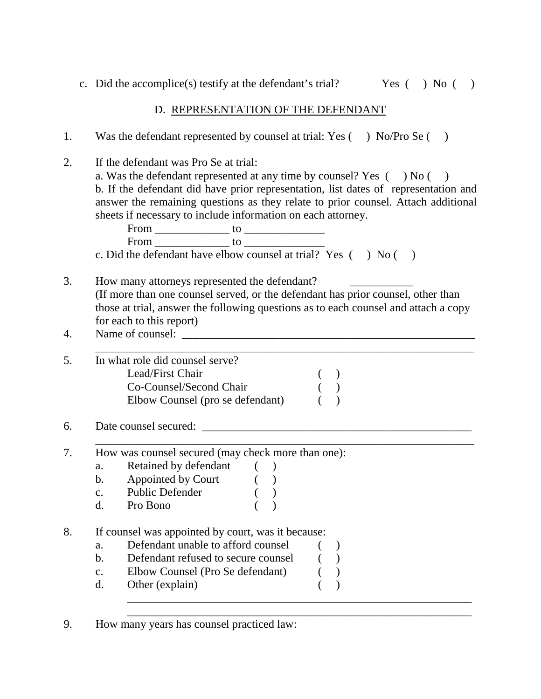c. Did the accomplice(s) testify at the defendant's trial? Yes () No ()

### D. REPRESENTATION OF THE DEFENDANT

1. Was the defendant represented by counsel at trial: Yes () No/Pro Se () 2. If the defendant was Pro Se at trial: a. Was the defendant represented at any time by counsel? Yes  $($   $)$  No  $($   $)$ b. If the defendant did have prior representation, list dates of representation and answer the remaining questions as they relate to prior counsel. Attach additional sheets if necessary to include information on each attorney. From \_\_\_\_\_\_\_\_\_\_\_\_\_ to \_\_\_\_\_\_\_\_\_\_\_\_\_\_ From \_\_\_\_\_\_\_\_\_\_\_\_\_ to \_\_\_\_\_\_\_\_\_\_\_\_\_\_ c. Did the defendant have elbow counsel at trial? Yes () No () 3. How many attorneys represented the defendant? (If more than one counsel served, or the defendant has prior counsel, other than those at trial, answer the following questions as to each counsel and attach a copy for each to this report) 4. Name of counsel: \_\_\_\_\_\_\_\_\_\_\_\_\_\_\_\_\_\_\_\_\_\_\_\_\_\_\_\_\_\_\_\_\_\_\_\_\_\_\_\_\_\_\_\_\_\_\_\_\_\_\_ \_\_\_\_\_\_\_\_\_\_\_\_\_\_\_\_\_\_\_\_\_\_\_\_\_\_\_\_\_\_\_\_\_\_\_\_\_\_\_\_\_\_\_\_\_\_\_\_\_\_\_\_\_\_\_\_\_\_\_\_\_\_\_\_\_\_ 5. In what role did counsel serve? Lead/First Chair ( ) Co-Counsel/Second Chair ( ) Elbow Counsel (pro se defendant) () 6. Date counsel secured: \_\_\_\_\_\_\_\_\_\_\_\_\_\_\_\_\_\_\_\_\_\_\_\_\_\_\_\_\_\_\_\_\_\_\_\_\_\_\_\_\_\_\_\_\_\_\_ \_\_\_\_\_\_\_\_\_\_\_\_\_\_\_\_\_\_\_\_\_\_\_\_\_\_\_\_\_\_\_\_\_\_\_\_\_\_\_\_\_\_\_\_\_\_\_\_\_\_\_\_\_\_\_\_\_\_\_\_\_\_\_\_\_\_ 7. How was counsel secured (may check more than one): a. Retained by defendant ()<br>b. Appointed by Court () b. Appointed by Court c. Public Defender ( ) d. Pro Bono ( ) 8. If counsel was appointed by court, was it because: a. Defendant unable to afford counsel ( ) b. Defendant refused to secure counsel () c. Elbow Counsel (Pro Se defendant) ( ) d. Other (explain) ( ) \_\_\_\_\_\_\_\_\_\_\_\_\_\_\_\_\_\_\_\_\_\_\_\_\_\_\_\_\_\_\_\_\_\_\_\_\_\_\_\_\_\_\_\_\_\_\_\_\_\_\_\_\_\_\_\_\_\_\_\_ \_\_\_\_\_\_\_\_\_\_\_\_\_\_\_\_\_\_\_\_\_\_\_\_\_\_\_\_\_\_\_\_\_\_\_\_\_\_\_\_\_\_\_\_\_\_\_\_\_\_\_\_\_\_\_\_\_\_\_\_

<sup>9.</sup> How many years has counsel practiced law: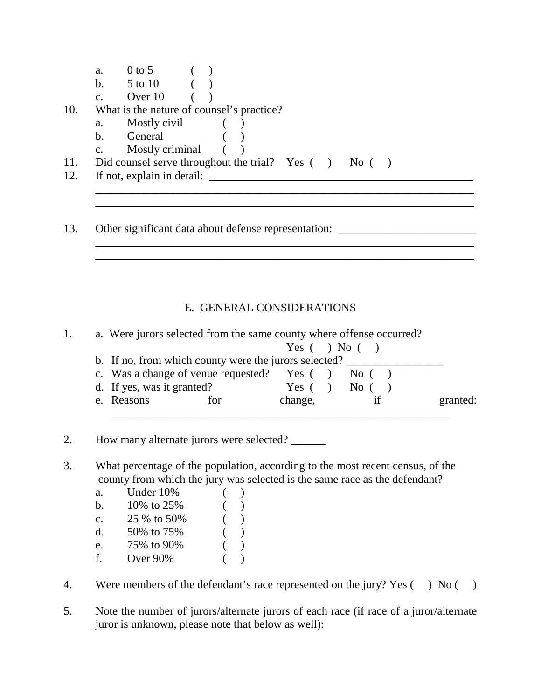| a.             | $0 \text{ to } 5$                                              |  |  |  |  |  |
|----------------|----------------------------------------------------------------|--|--|--|--|--|
|                | b. $5 \text{ to } 10$                                          |  |  |  |  |  |
| $\mathbf{c}$ . | Over 10                                                        |  |  |  |  |  |
|                | What is the nature of counsel's practice?                      |  |  |  |  |  |
| a.             | Mostly civil                                                   |  |  |  |  |  |
| $\mathbf b$ .  | General                                                        |  |  |  |  |  |
| $C_{\bullet}$  | Mostly criminal (                                              |  |  |  |  |  |
| 11.            | Did counsel serve throughout the trial? Yes $($ $)$ No $($ $)$ |  |  |  |  |  |
|                | If not, explain in detail:                                     |  |  |  |  |  |
|                |                                                                |  |  |  |  |  |
|                |                                                                |  |  |  |  |  |
|                |                                                                |  |  |  |  |  |

# E. GENERAL CONSIDERATIONS

13. Other significant data about defense representation: \_\_\_\_\_\_\_\_\_\_\_\_\_\_\_\_\_\_\_\_\_\_\_

\_\_\_\_\_\_\_\_\_\_\_\_\_\_\_\_\_\_\_\_\_\_\_\_\_\_\_\_\_\_\_\_\_\_\_\_\_\_\_\_\_\_\_\_\_\_\_\_\_\_\_\_\_\_\_\_\_\_\_\_\_\_\_\_\_\_ \_\_\_\_\_\_\_\_\_\_\_\_\_\_\_\_\_\_\_\_\_\_\_\_\_\_\_\_\_\_\_\_\_\_\_\_\_\_\_\_\_\_\_\_\_\_\_\_\_\_\_\_\_\_\_\_\_\_\_\_\_\_\_\_\_\_

|  | a. Were jurors selected from the same county where offense occurred? |           |  |                        |          |
|--|----------------------------------------------------------------------|-----------|--|------------------------|----------|
|  |                                                                      |           |  | Yes $( \ )$ No $( \ )$ |          |
|  | b. If no, from which county were the jurors selected?                |           |  |                        |          |
|  | c. Was a change of venue requested? Yes $( )$ No $( )$               |           |  |                        |          |
|  | d. If yes, was it granted?                                           | Yes $($ ) |  | $\overline{N}$ ( )     |          |
|  | e. Reasons<br>for                                                    | change,   |  |                        | granted: |

2. How many alternate jurors were selected?

3. What percentage of the population, according to the most recent census, of the county from which the jury was selected is the same race as the defendant?

| a.             | Under 10%    |  |
|----------------|--------------|--|
| b.             | 10\% to 25\% |  |
| $\mathbf{C}$ . | 25 % to 50%  |  |
| d.             | 50\% to 75\% |  |
| e.             | 75% to 90%   |  |
| f.             | Over 90%     |  |

4. Were members of the defendant's race represented on the jury? Yes () No ()

5. Note the number of jurors/alternate jurors of each race (if race of a juror/alternate juror is unknown, please note that below as well):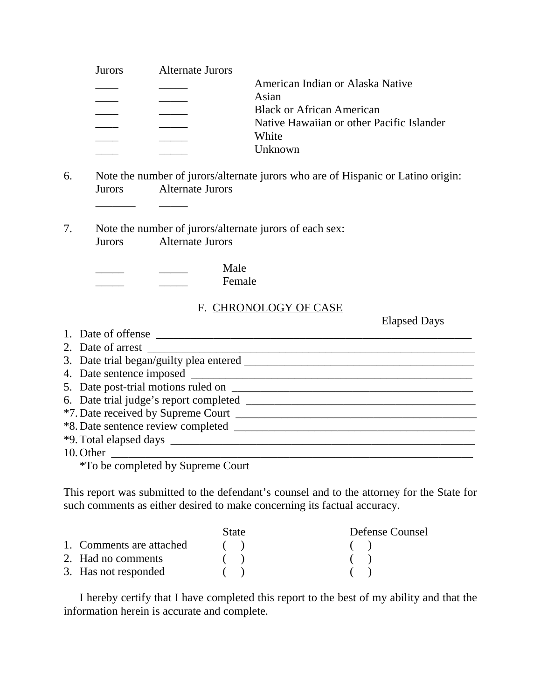| Jurors. | Alternate Jurors |                                           |
|---------|------------------|-------------------------------------------|
|         |                  | American Indian or Alaska Native          |
|         |                  | Asian                                     |
|         |                  | <b>Black or African American</b>          |
|         |                  | Native Hawaiian or other Pacific Islander |
|         |                  | White                                     |
|         |                  | <b>Unknown</b>                            |
|         |                  |                                           |

- 6. Note the number of jurors/alternate jurors who are of Hispanic or Latino origin: Jurors Alternate Jurors
- 7. Note the number of jurors/alternate jurors of each sex: Jurors Alternate Jurors

|  | Male   |
|--|--------|
|  | Female |

\_\_\_\_\_\_\_ \_\_\_\_\_

## F. CHRONOLOGY OF CASE

Elapsed Days

| 1. Date of offense                               |
|--------------------------------------------------|
| 2. Date of arrest                                |
| 3. Date trial began/guilty plea entered ________ |
|                                                  |
| 5. Date post-trial motions ruled on ________     |
|                                                  |
|                                                  |
|                                                  |
|                                                  |
|                                                  |
| $*T_0$ he completed by $S$                       |

\*To be completed by Supreme Court

This report was submitted to the defendant's counsel and to the attorney for the State for such comments as either desired to make concerning its factual accuracy.

|                          | <b>State</b> | Defense Counsel |
|--------------------------|--------------|-----------------|
| 1. Comments are attached | (            | (               |
| 2. Had no comments       |              |                 |
| 3. Has not responded     |              |                 |

I hereby certify that I have completed this report to the best of my ability and that the information herein is accurate and complete.